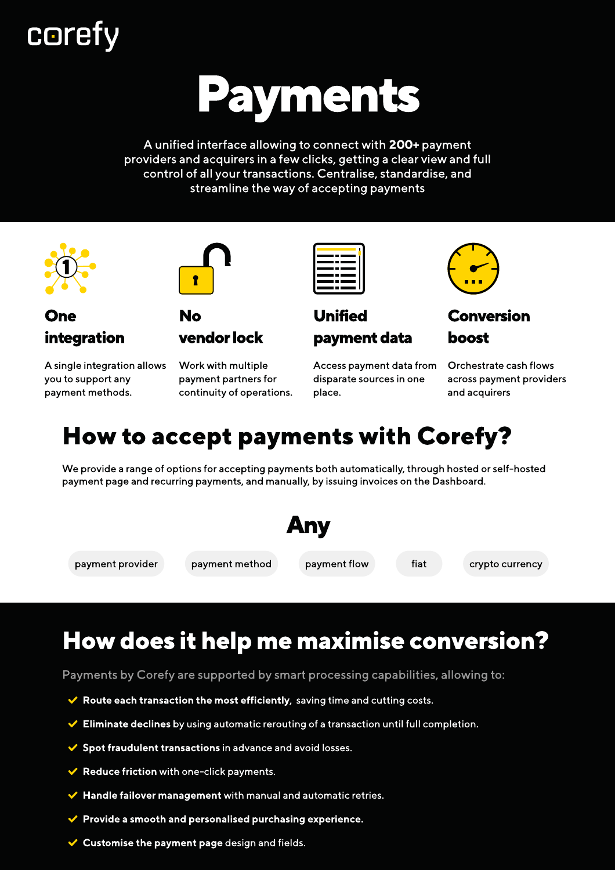## **corefy**

# Payments

A unified interface allowing to connect with 200+ payment providers and acquirers in a few clicks, getting a clear view and full control of all your transactions. Centralise, standardise, and streamline the way of accepting payments





No

One integration

A single integration allows you to support any payment methods.



vendor lock



Unified payment data

Access payment data from disparate sources in one place.



Conversion boost

Orchestrate cash flows across payment providers and acquirers

### How to accept payments with Corefy?

We provide a range of options for accepting payments both automatically, through hosted or self-hosted payment page and recurring payments, and manually, by issuing invoices on the Dashboard.



## How does it help me maximise conversion?

Payments by Corefy are supported by smart processing capabilities, allowing to:

- $\blacktriangleright$  Route each transaction the most efficiently, saving time and cutting costs.
- $\blacktriangleright$  Eliminate declines by using automatic rerouting of a transaction until full completion.
- $\checkmark$  Spot fraudulent transactions in advance and avoid losses.
- $\blacktriangleright$  Reduce friction with one-click payments.
- $\blacktriangleright$  Handle failover management with manual and automatic retries.
- $\blacktriangleright$  Provide a smooth and personalised purchasing experience.
- $\vee$  Customise the payment page design and fields.